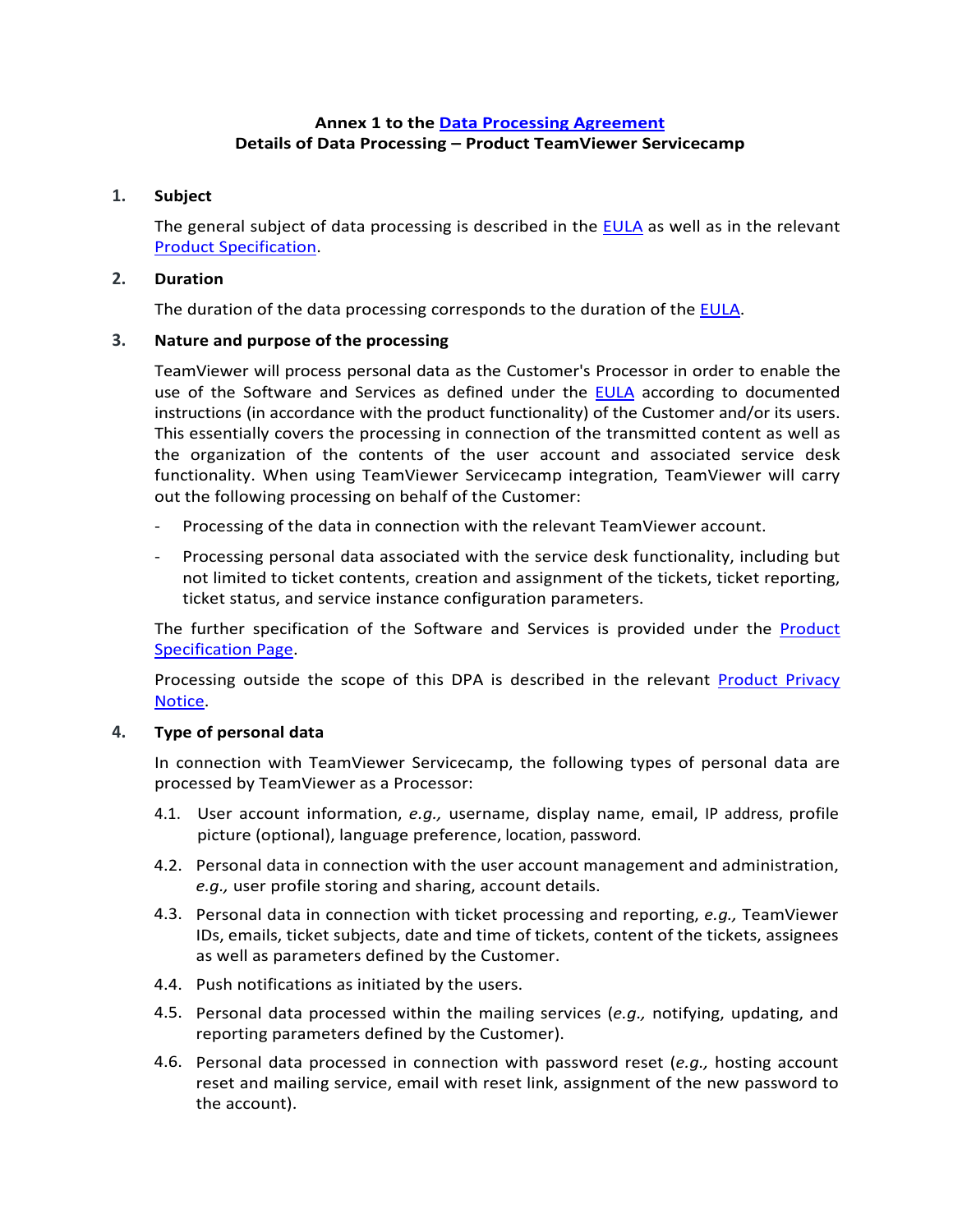# **Annex 1 to the [Data Processing Agreement](https://www.teamviewer.com/en/eula/#dpa) Details of Data Processing – Product TeamViewer Servicecamp**

### **1. Subject**

The general subject of data processing is described in the [EULA](https://www.teamviewer.com/en/eula/#eula) as well as in the relevant [Product Specification.](https://www.teamviewer.com/en/product-descriptions/)

#### **2. Duration**

The duration of the data processing corresponds to the duration of the [EULA.](https://www.teamviewer.com/en/eula/#eula)

### **3. Nature and purpose of the processing**

TeamViewer will process personal data as the Customer's Processor in order to enable the use of the Software and Services as defined under the [EULA](https://www.teamviewer.com/en/eula/#eula) according to documented instructions (in accordance with the product functionality) of the Customer and/or its users. This essentially covers the processing in connection of the transmitted content as well as the organization of the contents of the user account and associated service desk functionality. When using TeamViewer Servicecamp integration, TeamViewer will carry out the following processing on behalf of the Customer:

- Processing of the data in connection with the relevant TeamViewer account.
- Processing personal data associated with the service desk functionality, including but not limited to ticket contents, creation and assignment of the tickets, ticket reporting, ticket status, and service instance configuration parameters.

The further specification of the Software and Services is provided under the [Product](https://www.teamviewer.com/en/product-descriptions/)  [Specification Page.](https://www.teamviewer.com/en/product-descriptions/)

Processing outside the scope of this DPA is described in the relevant [Product Privacy](https://www.teamviewer.com/en/privacy-policy/)  [Notice.](https://www.teamviewer.com/en/privacy-policy/)

### **4. Type of personal data**

In connection with TeamViewer Servicecamp, the following types of personal data are processed by TeamViewer as a Processor:

- 4.1. User account information, *e.g.,* username, display name, email, IP address, profile picture (optional), language preference, location, password.
- 4.2. Personal data in connection with the user account management and administration, *e.g.,* user profile storing and sharing, account details.
- 4.3. Personal data in connection with ticket processing and reporting, *e.g.,* TeamViewer IDs, emails, ticket subjects, date and time of tickets, content of the tickets, assignees as well as parameters defined by the Customer.
- 4.4. Push notifications as initiated by the users.
- 4.5. Personal data processed within the mailing services (*e.g.,* notifying, updating, and reporting parameters defined by the Customer).
- 4.6. Personal data processed in connection with password reset (*e.g.,* hosting account reset and mailing service, email with reset link, assignment of the new password to the account).